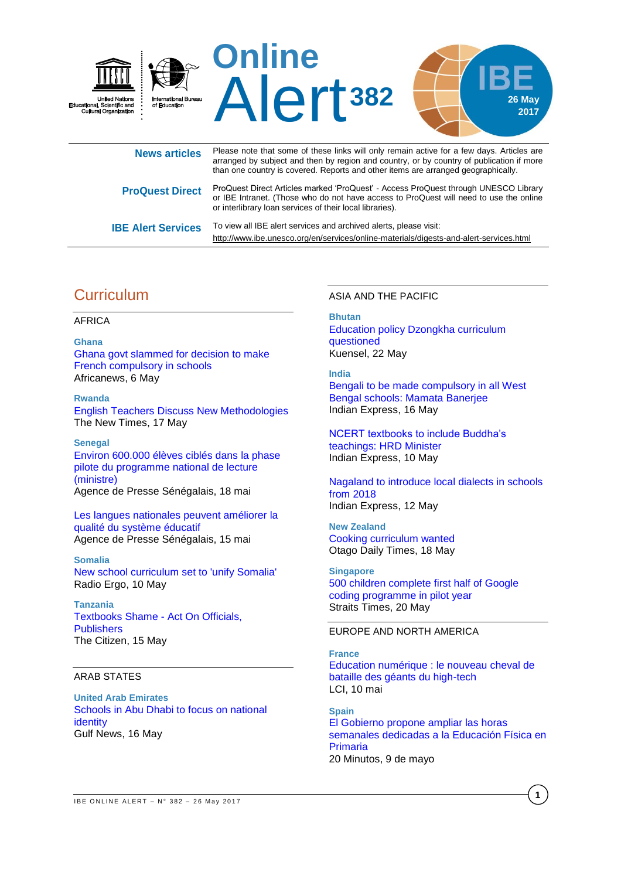

| <b>News articles</b>      | Though Hotel that bother of though miller this billy forhall dotted for a fort dayor fittion of art<br>arranged by subject and then by region and country, or by country of publication if more<br>than one country is covered. Reports and other items are arranged geographically. |
|---------------------------|--------------------------------------------------------------------------------------------------------------------------------------------------------------------------------------------------------------------------------------------------------------------------------------|
| <b>ProQuest Direct</b>    | ProQuest Direct Articles marked 'ProQuest' - Access ProQuest through UNESCO Library<br>or IBE Intranet. (Those who do not have access to ProQuest will need to use the online<br>or interlibrary loan services of their local libraries).                                            |
| <b>IBE Alert Services</b> | To view all IBE alert services and archived alerts, please visit:<br>http://www.ibe.unesco.org/en/services/online-materials/digests-and-alert-services.html                                                                                                                          |

# **Curriculum**

### AFRICA

**Ghana** [Ghana govt slammed for decision to make](http://www.africanews.com/2017/05/06/ghana-government-slammed-for-decision-to-make-french-compulsory-in-schools/)  [French compulsory in schools](http://www.africanews.com/2017/05/06/ghana-government-slammed-for-decision-to-make-french-compulsory-in-schools/) Africanews, 6 May

**Rwanda** [English Teachers Discuss New Methodologies](http://allafrica.com/stories/201705170096.html) The New Times, 17 May

**Senegal** [Environ 600.000 élèves ciblés dans la phase](http://fr.allafrica.com/stories/201705190311.html)  [pilote du programme national de lecture](http://fr.allafrica.com/stories/201705190311.html)  [\(ministre\)](http://fr.allafrica.com/stories/201705190311.html) Agence de Presse Sénégalais, 18 mai

[Les langues nationales peuvent améliorer la](http://fr.allafrica.com/stories/201705160389.html)  [qualité du système éducatif](http://fr.allafrica.com/stories/201705160389.html) Agence de Presse Sénégalais, 15 mai

**Somalia** [New school curriculum set to 'unify Somalia'](https://www.radioergo.org/en/blog.php?article_id=2947) Radio Ergo, 10 May

**Tanzania** [Textbooks Shame -](http://allafrica.com/stories/201705150775.html) Act On Officials, **[Publishers](http://allafrica.com/stories/201705150775.html)** The Citizen, 15 May

### ARAB STATES

**United Arab Emirates** [Schools in Abu Dhabi to focus on national](http://gulfnews.com/news/uae/education/schools-in-abu-dhabi-to-focus-on-national-identity-1.2028232)  [identity](http://gulfnews.com/news/uae/education/schools-in-abu-dhabi-to-focus-on-national-identity-1.2028232) Gulf News, 16 May

ASIA AND THE PACIFIC

### **Bhutan** Education policy Dzongkha [curriculum](http://www.kuenselonline.com/education-policy-dzongkha-curriculum-questioned/) [questioned](http://www.kuenselonline.com/education-policy-dzongkha-curriculum-questioned/) Kuensel, 22 May

**India** [Bengali to be made compulsory in all West](http://indianexpress.com/article/education/bengali-to-be-made-compulsory-in-all-west-bengal-schools-mamata-banerjee/) 

[Bengal schools: Mamata](http://indianexpress.com/article/education/bengali-to-be-made-compulsory-in-all-west-bengal-schools-mamata-banerjee/) Banerjee Indian Express, 16 May

[NCERT textbooks to include Buddha's](http://indianexpress.com/article/education/ncert-textbooks-to-include-buddhas-teachings-hrd-minister/)  [teachings: HRD](http://indianexpress.com/article/education/ncert-textbooks-to-include-buddhas-teachings-hrd-minister/) Minister Indian Express, 10 May

[Nagaland to introduce local dialects in schools](http://indianexpress.com/article/education/nagaland-to-introduce-local-dialects-in-schools-from-2018-4651550/)  from [2018](http://indianexpress.com/article/education/nagaland-to-introduce-local-dialects-in-schools-from-2018-4651550/) Indian Express, 12 May

**New Zealand** [Cooking curriculum wanted](https://www.odt.co.nz/news/national/cooking-curriculum-wanted) Otago Daily Times, 18 May

**Singapore** [500 children complete first half of Google](http://www.straitstimes.com/singapore/education/500-children-complete-first-half-of-google-coding-programme-in-pilot-year)  [coding programme in pilot year](http://www.straitstimes.com/singapore/education/500-children-complete-first-half-of-google-coding-programme-in-pilot-year) Straits Times, 20 May

## EUROPE AND NORTH AMERICA

**France** [Education numérique : le nouveau cheval de](http://www.lci.fr/high-tech/google-apple-microsoft-education-numerique-le-nouveau-cheval-de-bataille-des-geants-du-high-tech-2051451.html)  [bataille des géants du high-tech](http://www.lci.fr/high-tech/google-apple-microsoft-education-numerique-le-nouveau-cheval-de-bataille-des-geants-du-high-tech-2051451.html) LCI, 10 mai

**Spain** [El Gobierno propone ampliar las horas](http://www.20minutos.es/noticia/3032208/0/gobierno-ampliar-horas-educacion-fisica-primaria/)  [semanales dedicadas a la Educación Física en](http://www.20minutos.es/noticia/3032208/0/gobierno-ampliar-horas-educacion-fisica-primaria/)  [Primaria](http://www.20minutos.es/noticia/3032208/0/gobierno-ampliar-horas-educacion-fisica-primaria/) 20 Minutos, 9 de mayo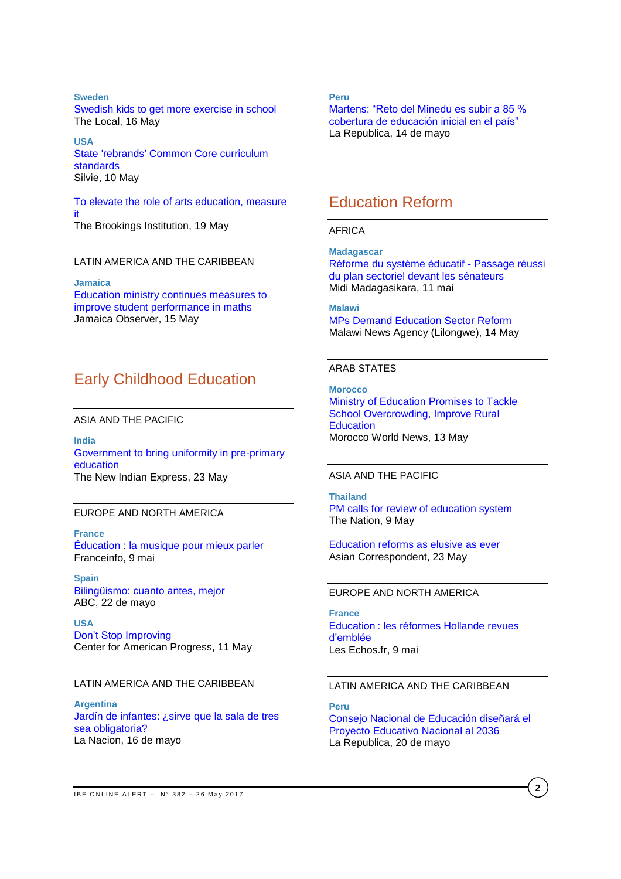### **Sweden**

[Swedish kids to get more exercise in school](https://www.thelocal.se/20170516/swedish-kids-to-get-more-exercise-in-school) The Local, 16 May

**USA** [State 'rebrands' Common Core curriculum](http://www.silive.com/news/2017/05/ny_state_rebrands_its_common_c.html)  [standards](http://www.silive.com/news/2017/05/ny_state_rebrands_its_common_c.html) Silvie, 10 May

[To elevate the role of arts education, measure](https://www.brookings.edu/research/to-elevate-the-role-of-arts-education-measure-it/)  [it](https://www.brookings.edu/research/to-elevate-the-role-of-arts-education-measure-it/) The Brookings Institution, 19 May

### LATIN AMERICA AND THE CARIBBEAN

**Jamaica** [Education ministry continues measures to](http://www.jamaicaobserver.com/latestnews/Education_ministry_continues_measures_to_improve_student_performance_in_maths)  [improve student performance in maths](http://www.jamaicaobserver.com/latestnews/Education_ministry_continues_measures_to_improve_student_performance_in_maths) Jamaica Observer, 15 May

# Early Childhood Education

ASIA AND THE PACIFIC

**India** [Government to bring uniformity in pre-primary](http://www.newindianexpress.com/cities/thiruvananthapuram/2017/may/23/government-to-bring-uniformity-in-pre-primary-education-1607895.html)  [education](http://www.newindianexpress.com/cities/thiruvananthapuram/2017/may/23/government-to-bring-uniformity-in-pre-primary-education-1607895.html) The New Indian Express, 23 May

### EUROPE AND NORTH AMERICA

**France** [Éducation : la musique pour mieux parler](http://www.francetvinfo.fr/societe/education/education-la-musique-pour-mieux-parler_2182819.html) Franceinfo, 9 mai

**Spain** [Bilingüismo: cuanto antes, mejor](http://www.abc.es/familia/educacion/abci-bilinguismo-cuanto-antes-mejor-201705220122_noticia.html) ABC, 22 de mayo

**USA** [Don't Stop Improving](https://www.americanprogress.org/issues/early-childhood/reports/2017/05/11/432153/dont-stop-improving-states-can-help-early-childhood-programs-journey-high-quality/) Center for American Progress, 11 May

### LATIN AMERICA AND THE CARIBBEAN

**Argentina** [Jardín de infantes: ¿sirve que la sala de tres](http://www.lanacion.com.ar/2023204-jardin-de-infantes-sirve-que-la-sala-de-tres-sea-obligatoria)  [sea obligatoria?](http://www.lanacion.com.ar/2023204-jardin-de-infantes-sirve-que-la-sala-de-tres-sea-obligatoria) La Nacion, 16 de mayo

**Peru**

[Martens: "Reto del Minedu es subir a 85 %](http://larepublica.pe/politica/875618-martens-reto-del-minedu-es-subir-85-cobertura-de-educacion-inicial-en-el-pais)  [cobertura de educación inicial en el país"](http://larepublica.pe/politica/875618-martens-reto-del-minedu-es-subir-85-cobertura-de-educacion-inicial-en-el-pais) La Republica, 14 de mayo

# Education Reform

#### AFRICA

**Madagascar** [Réforme du système éducatif -](http://fr.allafrica.com/stories/201705110592.html) Passage réussi [du plan sectoriel devant les sénateurs](http://fr.allafrica.com/stories/201705110592.html) Midi Madagasikara, 11 mai

**Malawi** [MPs Demand Education Sector Reform](http://allafrica.com/stories/201705140170.html) Malawi News Agency (Lilongwe), 14 May

## ARAB STATES

**Morocco** [Ministry of Education Promises to Tackle](https://www.moroccoworldnews.com/2017/05/216389/ministry-of-education-promises-to-tackle-school-overcrowding-improve-rural-education/)  [School Overcrowding, Improve Rural](https://www.moroccoworldnews.com/2017/05/216389/ministry-of-education-promises-to-tackle-school-overcrowding-improve-rural-education/)  **[Education](https://www.moroccoworldnews.com/2017/05/216389/ministry-of-education-promises-to-tackle-school-overcrowding-improve-rural-education/)** Morocco World News, 13 May

## ASIA AND THE PACIFIC

**Thailand** [PM calls for review of education system](http://www.nationmultimedia.com/news/national/30314678) The Nation, 9 May

[Education reforms as elusive as ever](https://asiancorrespondent.com/2017/05/thailand-education-reforms-elusive-ever/#2vuy2eoexXu8oBJL.97) Asian Correspondent, 23 May

## EUROPE AND NORTH AMERICA

**France** Education : [les réformes Hollande revues](https://www.lesechos.fr/elections/presidentielle-2017/0212042398682-education-les-reformes-hollande-revues-demblee-2085276.php)  [d'emblée](https://www.lesechos.fr/elections/presidentielle-2017/0212042398682-education-les-reformes-hollande-revues-demblee-2085276.php) Les Echos.fr, 9 mai

### LATIN AMERICA AND THE CARIBBEAN

**Peru** [Consejo Nacional de Educación diseñará el](http://larepublica.pe/sociedad/877672-consejo-nacional-de-educacion-disenara-el-proyecto-educativo-nacional-al-2036)  [Proyecto Educativo Nacional al 2036](http://larepublica.pe/sociedad/877672-consejo-nacional-de-educacion-disenara-el-proyecto-educativo-nacional-al-2036) La Republica, 20 de mayo

**2**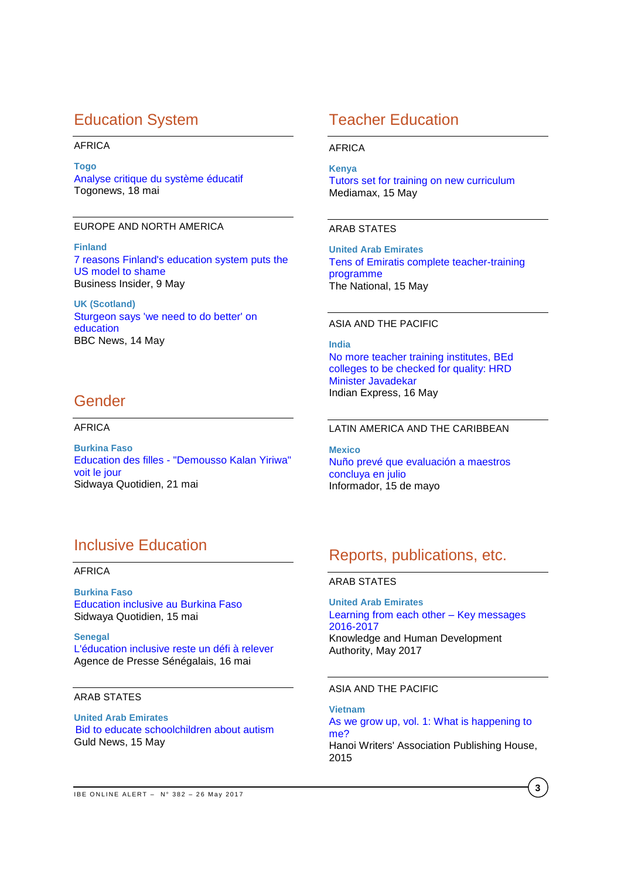# Education System

### AFRICA

**Togo** [Analyse critique du système éducatif](http://fr.allafrica.com/stories/201705190309.html) Togonews, 18 mai

## EUROPE AND NORTH AMERICA

**Finland** [7 reasons Finland's education system puts the](http://www.businessinsider.fr/us/finland-education-beats-us-2017-5/)  [US model to shame](http://www.businessinsider.fr/us/finland-education-beats-us-2017-5/) Business Insider, 9 May

**UK (Scotland)** [Sturgeon says 'we need to do better' on](http://www.bbc.com/news/uk-scotland-scotland-politics-39913402)  [education](http://www.bbc.com/news/uk-scotland-scotland-politics-39913402) BBC News, 14 May

# Gender

### AFRICA

**Burkina Faso** Education des filles - ["Demousso Kalan Yiriwa"](http://fr.allafrica.com/stories/201705220953.html)  [voit le jour](http://fr.allafrica.com/stories/201705220953.html) Sidwaya Quotidien, 21 mai

# Inclusive Education

### AFRICA

**Burkina Faso** [Education inclusive au Burkina Faso](http://fr.allafrica.com/stories/201705160409.html) Sidwaya Quotidien, 15 mai

**Senegal** [L'éducation inclusive reste un défi à relever](http://fr.allafrica.com/stories/201705170374.html) Agence de Presse Sénégalais, 16 mai

### ARAB STATES

**United Arab Emirates** Bid [to educate schoolchildren about autism](http://gulfnews.com/news/uae/government/bid-to-educate-schoolchildren-about-autism-1.2027582) Guld News, 15 May

# Teacher Education

AFRICA

**Kenya** [Tutors set for training on new curriculum](http://www.mediamaxnetwork.co.ke/news/326848/tutors-set-training-new-curriculum/) Mediamax, 15 May

### ARAB STATES

**United Arab Emirates** [Tens of Emiratis complete teacher-training](http://www.thenational.ae/uae/education/tens-of-emiratis-complete-teacher-training-programme)  [programme](http://www.thenational.ae/uae/education/tens-of-emiratis-complete-teacher-training-programme) The National, 15 May

#### ASIA AND THE PACIFIC

**India** [No more teacher training institutes, BEd](http://indianexpress.com/article/education/no-more-teacher-training-institutes-bed-colleges-to-be-audited-hrd-minister-javadekar-4658649/)  [colleges to be checked for quality: HRD](http://indianexpress.com/article/education/no-more-teacher-training-institutes-bed-colleges-to-be-audited-hrd-minister-javadekar-4658649/)  Minister [Javadekar](http://indianexpress.com/article/education/no-more-teacher-training-institutes-bed-colleges-to-be-audited-hrd-minister-javadekar-4658649/) Indian Express, 16 May

## LATIN AMERICA AND THE CARIBBEAN

**Mexico** [Nuño prevé que evaluación a maestros](http://www.informador.com.mx/mexico/2017/721265/6/nuno-preve-que-evaluacion-a-maestros-concluya-en-julio.htm)  [concluya en julio](http://www.informador.com.mx/mexico/2017/721265/6/nuno-preve-que-evaluacion-a-maestros-concluya-en-julio.htm) Informador, 15 de mayo

# Reports, publications, etc.

## ARAB STATES

**United Arab Emirates** [Learning from each other –](https://www.khda.gov.ae/Areas/Administration/Content/FileUploads/Publication/Documents/English/20170516132050_KF2017_En.pdf) Key messages [2016-2017](https://www.khda.gov.ae/Areas/Administration/Content/FileUploads/Publication/Documents/English/20170516132050_KF2017_En.pdf) Knowledge and Human Development Authority, May 2017

### ASIA AND THE PACIFIC

**Vietnam** [As we grow up, vol. 1: What is happening to](http://unesdoc.unesco.org/images/0024/002446/244640e.pdf)  [me?](http://unesdoc.unesco.org/images/0024/002446/244640e.pdf) Hanoi Writers' Association Publishing House, 2015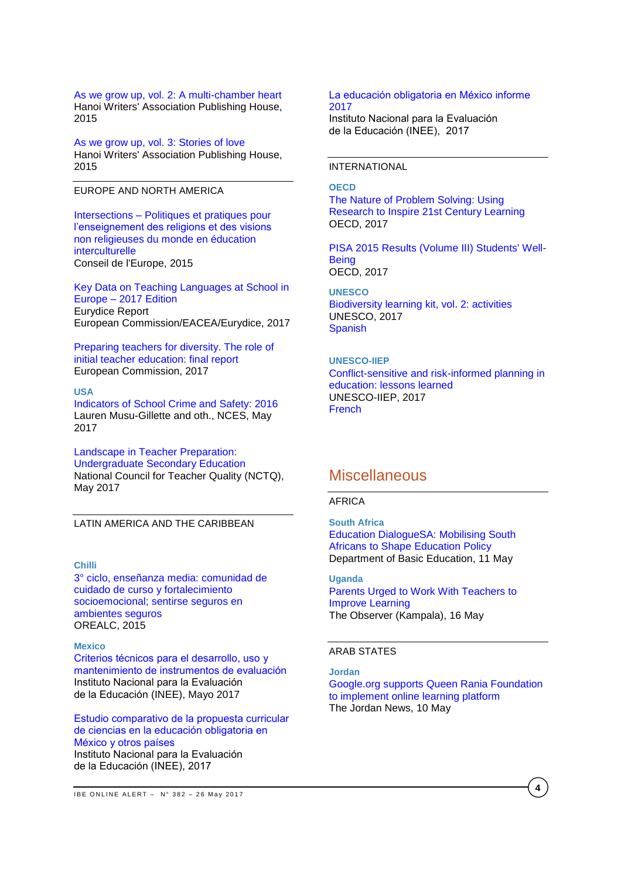[As we grow up, vol. 2: A multi-chamber heart](http://unesdoc.unesco.org/images/0024/002446/244641e.pdf) Hanoi Writers' Association Publishing House, 2015

[As we grow up, vol. 3: Stories of love](http://unesdoc.unesco.org/images/0024/002446/244642e.pdf) Hanoi Writers' Association Publishing House, 2015

### EUROPE AND NORTH AMERICA

Intersections – [Politiques et pratiques pour](https://rm.coe.int/16806cd2f6)  [l'enseignement des religions et des visions](https://rm.coe.int/16806cd2f6)  [non religieuses du monde en éducation](https://rm.coe.int/16806cd2f6)  [interculturelle](https://rm.coe.int/16806cd2f6) Conseil de l'Europe, 2015

[Key Data on Teaching Languages at School in](https://webgate.ec.europa.eu/fpfis/mwikis/eurydice/images/0/06/KDL_2017_internet.pdf)  Europe – [2017 Edition](https://webgate.ec.europa.eu/fpfis/mwikis/eurydice/images/0/06/KDL_2017_internet.pdf) Eurydice Report European Commission/EACEA/Eurydice, 2017

[Preparing teachers for diversity. The role of](https://publications.europa.eu/fr/publication-detail/-/publication/b347bf7d-1db1-11e7-aeb3-01aa75ed71a1)  [initial teacher education: final report](https://publications.europa.eu/fr/publication-detail/-/publication/b347bf7d-1db1-11e7-aeb3-01aa75ed71a1) European Commission, 2017

#### **USA**

[Indicators of School Crime and Safety: 2016](https://nces.ed.gov/pubs2017/2017064.pdf) Lauren Musu-Gillette and oth., NCES, May 2017

[Landscape in Teacher Preparation:](http://www.nctq.org/dmsView/Landscapes_-_2017_UG_Secondary) 

[Undergraduate Secondary Education](http://www.nctq.org/dmsView/Landscapes_-_2017_UG_Secondary) National Council for Teacher Quality (NCTQ), May 2017

LATIN AMERICA AND THE CARIBBEAN

### **Chilli**

[3° ciclo, enseñanza media: comunidad de](http://unesdoc.unesco.org/images/0024/002446/244694s.pdf)  [cuidado de curso y fortalecimiento](http://unesdoc.unesco.org/images/0024/002446/244694s.pdf)  [socioemocional; sentirse seguros en](http://unesdoc.unesco.org/images/0024/002446/244694s.pdf)  [ambientes seguros](http://unesdoc.unesco.org/images/0024/002446/244694s.pdf) OREALC, 2015

#### **Mexico**

[Criterios técnicos para el desarrollo, uso y](http://publicaciones.inee.edu.mx/buscadorPub/P1/E/104/P1E104.pdf)  [mantenimiento de instrumentos de evaluación](http://publicaciones.inee.edu.mx/buscadorPub/P1/E/104/P1E104.pdf) Instituto Nacional para la Evaluación de la Educación (INEE), Mayo 2017

[Estudio comparativo de la propuesta curricular](http://publicaciones.inee.edu.mx/buscadorPub/P1/F/211/P1F211.pdf)  [de ciencias en la educación obligatoria en](http://publicaciones.inee.edu.mx/buscadorPub/P1/F/211/P1F211.pdf)  [México y otros países](http://publicaciones.inee.edu.mx/buscadorPub/P1/F/211/P1F211.pdf) 

Instituto Nacional para la Evaluación de la Educación (INEE), 2017

#### [La educación obligatoria en México informe](http://publicaciones.inee.edu.mx/buscadorPub/P1/I/242/P1I242.pdf)  [2017](http://publicaciones.inee.edu.mx/buscadorPub/P1/I/242/P1I242.pdf)

Instituto Nacional para la Evaluación de la Educación (INEE), 2017

### INTERNATIONAL

#### **OECD**

[The Nature of Problem Solving: Using](http://www.oecd-ilibrary.org/education/the-nature-of-problem-solving_9789264273955-en)  [Research to Inspire 21st Century Learning](http://www.oecd-ilibrary.org/education/the-nature-of-problem-solving_9789264273955-en) OECD, 2017

[PISA 2015 Results \(Volume III\) Students' Well-](http://www.oecd-ilibrary.org/education/pisa-2015-results-volume-iii_9789264273856-en)**[Being](http://www.oecd-ilibrary.org/education/pisa-2015-results-volume-iii_9789264273856-en)** OECD, 2017

#### **UNESCO**

[Biodiversity learning kit, vol. 2: activities](http://unesdoc.unesco.org/images/0024/002459/245982e.pdf) UNESCO, 2017 **[Spanish](http://unesdoc.unesco.org/images/0024/002459/245984s.pdf)** 

#### **UNESCO-IIEP**

[Conflict-sensitive and risk-informed planning in](http://unesdoc.unesco.org/images/0024/002471/247146e.pdf)  [education: lessons learned](http://unesdoc.unesco.org/images/0024/002471/247146e.pdf) UNESCO-IIEP, 2017 [French](http://unesdoc.unesco.org/images/0024/002471/247146f.pdf)

# **Miscellaneous**

### AFRICA

**South Africa** Education [DialogueSA:](http://www.education.gov.za/Newsroom/MediaRelease/tabid/347/ctl/Details/mid/5986/ItemID/4367/Default.aspx) Mobilising South Africans to Shape [Education](http://www.education.gov.za/Newsroom/MediaRelease/tabid/347/ctl/Details/mid/5986/ItemID/4367/Default.aspx) Policy Department of Basic Education, 11 May

**Uganda** [Parents Urged to Work With Teachers to](http://allafrica.com/stories/201705170194.html)  [Improve Learning](http://allafrica.com/stories/201705170194.html) The Observer (Kampala), 16 May

### ARAB STATES

**Jordan** [Google.org supports Queen Rania Foundation](http://www.jordantimes.com/news/local/googleorg-supports-queen-rania-foundation-implement-online-learning-platform)  [to implement online learning platform](http://www.jordantimes.com/news/local/googleorg-supports-queen-rania-foundation-implement-online-learning-platform) The Jordan News, 10 May